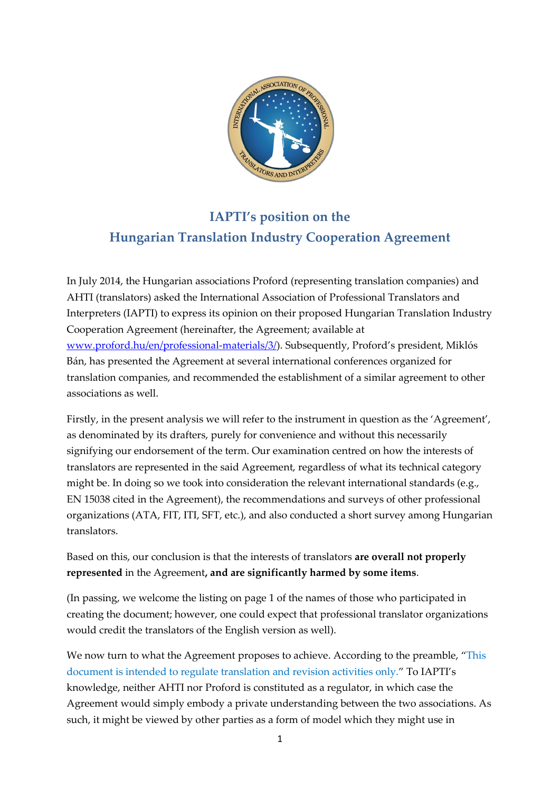

## **IAPTI's position on the Hungarian Translation Industry Cooperation Agreement**

In July 2014, the Hungarian associations Proford (representing translation companies) and AHTI (translators) asked the International Association of Professional Translators and Interpreters (IAPTI) to express its opinion on their proposed Hungarian Translation Industry Cooperation Agreement (hereinafter, the Agreement; available at [www.proford.hu/en/professional-materials/3/\)](http://www.proford.hu/en/professional-materials/3/). Subsequently, Proford's president, Miklós Bán, has presented the Agreement at several international conferences organized for translation companies, and recommended the establishment of a similar agreement to other associations as well.

Firstly, in the present analysis we will refer to the instrument in question as the 'Agreement', as denominated by its drafters, purely for convenience and without this necessarily signifying our endorsement of the term. Our examination centred on how the interests of translators are represented in the said Agreement, regardless of what its technical category might be. In doing so we took into consideration the relevant international standards (e.g., EN 15038 cited in the Agreement), the recommendations and surveys of other professional organizations (ATA, FIT, ITI, SFT, etc.), and also conducted a short survey among Hungarian translators.

Based on this, our conclusion is that the interests of translators **are overall not properly represented** in the Agreement**, and are significantly harmed by some items**.

(In passing, we welcome the listing on page 1 of the names of those who participated in creating the document; however, one could expect that professional translator organizations would credit the translators of the English version as well).

We now turn to what the Agreement proposes to achieve. According to the preamble, "This document is intended to regulate translation and revision activities only." To IAPTI's knowledge, neither AHTI nor Proford is constituted as a regulator, in which case the Agreement would simply embody a private understanding between the two associations. As such, it might be viewed by other parties as a form of model which they might use in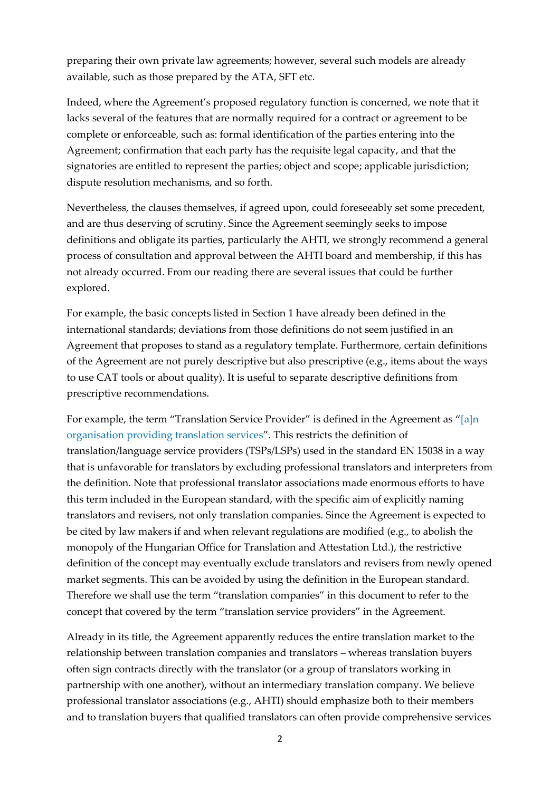preparing their own private law agreements; however, several such models are already available, such as those prepared by the ATA, SFT etc.

Indeed, where the Agreement's proposed regulatory function is concerned, we note that it lacks several of the features that are normally required for a contract or agreement to be complete or enforceable, such as: formal identification of the parties entering into the Agreement; confirmation that each party has the requisite legal capacity, and that the signatories are entitled to represent the parties; object and scope; applicable jurisdiction; dispute resolution mechanisms, and so forth.

Nevertheless, the clauses themselves, if agreed upon, could foreseeably set some precedent, and are thus deserving of scrutiny. Since the Agreement seemingly seeks to impose definitions and obligate its parties, particularly the AHTI, we strongly recommend a general process of consultation and approval between the AHTI board and membership, if this has not already occurred. From our reading there are several issues that could be further explored.

For example, the basic concepts listed in Section 1 have already been defined in the international standards; deviations from those definitions do not seem justified in an Agreement that proposes to stand as a regulatory template. Furthermore, certain definitions of the Agreement are not purely descriptive but also prescriptive (e.g., items about the ways to use CAT tools or about quality). It is useful to separate descriptive definitions from prescriptive recommendations.

For example, the term "Translation Service Provider" is defined in the Agreement as "[a]n organisation providing translation services". This restricts the definition of translation/language service providers (TSPs/LSPs) used in the standard EN 15038 in a way that is unfavorable for translators by excluding professional translators and interpreters from the definition. Note that professional translator associations made enormous efforts to have this term included in the European standard, with the specific aim of explicitly naming translators and revisers, not only translation companies. Since the Agreement is expected to be cited by law makers if and when relevant regulations are modified (e.g., to abolish the monopoly of the Hungarian Office for Translation and Attestation Ltd.), the restrictive definition of the concept may eventually exclude translators and revisers from newly opened market segments. This can be avoided by using the definition in the European standard. Therefore we shall use the term "translation companies" in this document to refer to the concept that covered by the term "translation service providers" in the Agreement.

Already in its title, the Agreement apparently reduces the entire translation market to the relationship between translation companies and translators – whereas translation buyers often sign contracts directly with the translator (or a group of translators working in partnership with one another), without an intermediary translation company. We believe professional translator associations (e.g., AHTI) should emphasize both to their members and to translation buyers that qualified translators can often provide comprehensive services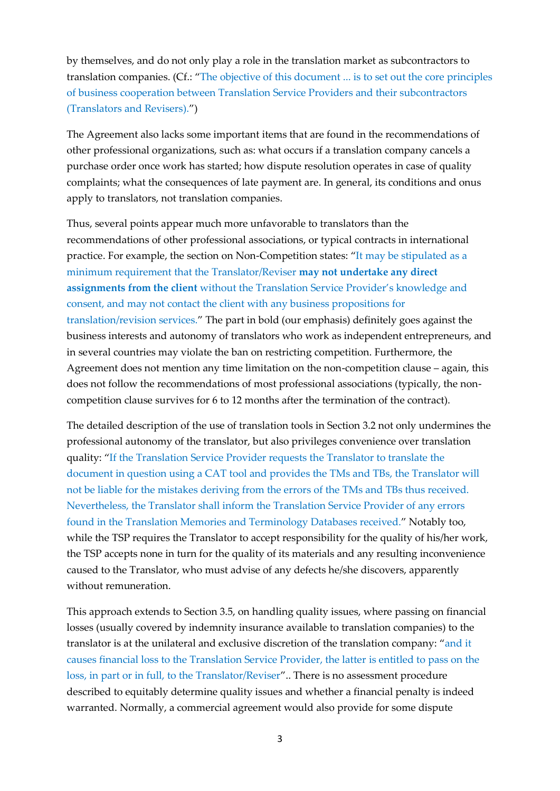by themselves, and do not only play a role in the translation market as subcontractors to translation companies. (Cf.: "The objective of this document ... is to set out the core principles of business cooperation between Translation Service Providers and their subcontractors (Translators and Revisers).")

The Agreement also lacks some important items that are found in the recommendations of other professional organizations, such as: what occurs if a translation company cancels a purchase order once work has started; how dispute resolution operates in case of quality complaints; what the consequences of late payment are. In general, its conditions and onus apply to translators, not translation companies.

Thus, several points appear much more unfavorable to translators than the recommendations of other professional associations, or typical contracts in international practice. For example, the section on Non-Competition states: "It may be stipulated as a minimum requirement that the Translator/Reviser **may not undertake any direct assignments from the client** without the Translation Service Provider's knowledge and consent, and may not contact the client with any business propositions for translation/revision services." The part in bold (our emphasis) definitely goes against the business interests and autonomy of translators who work as independent entrepreneurs, and in several countries may violate the ban on restricting competition. Furthermore, the Agreement does not mention any time limitation on the non-competition clause – again, this does not follow the recommendations of most professional associations (typically, the noncompetition clause survives for 6 to 12 months after the termination of the contract).

The detailed description of the use of translation tools in Section 3.2 not only undermines the professional autonomy of the translator, but also privileges convenience over translation quality: "If the Translation Service Provider requests the Translator to translate the document in question using a CAT tool and provides the TMs and TBs, the Translator will not be liable for the mistakes deriving from the errors of the TMs and TBs thus received. Nevertheless, the Translator shall inform the Translation Service Provider of any errors found in the Translation Memories and Terminology Databases received." Notably too, while the TSP requires the Translator to accept responsibility for the quality of his/her work, the TSP accepts none in turn for the quality of its materials and any resulting inconvenience caused to the Translator, who must advise of any defects he/she discovers, apparently without remuneration.

This approach extends to Section 3.5, on handling quality issues, where passing on financial losses (usually covered by indemnity insurance available to translation companies) to the translator is at the unilateral and exclusive discretion of the translation company: "and it causes financial loss to the Translation Service Provider, the latter is entitled to pass on the loss, in part or in full, to the Translator/Reviser".. There is no assessment procedure described to equitably determine quality issues and whether a financial penalty is indeed warranted. Normally, a commercial agreement would also provide for some dispute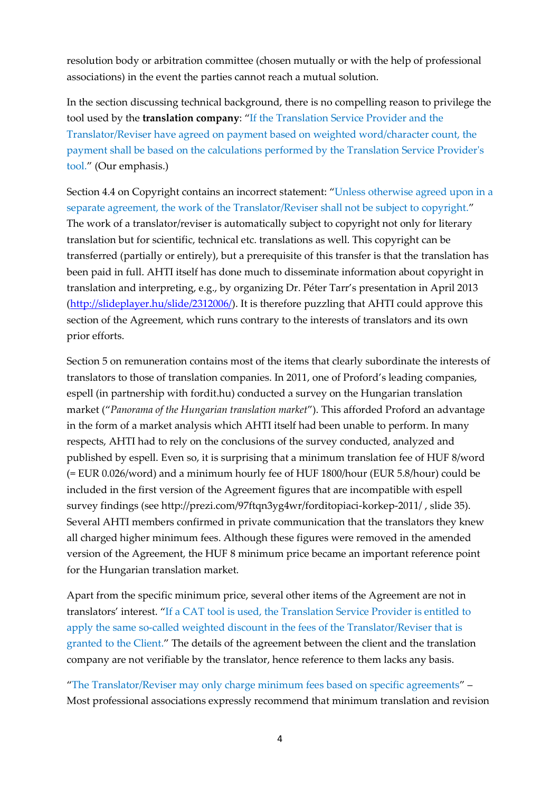resolution body or arbitration committee (chosen mutually or with the help of professional associations) in the event the parties cannot reach a mutual solution.

In the section discussing technical background, there is no compelling reason to privilege the tool used by the **translation company**: "If the Translation Service Provider and the Translator/Reviser have agreed on payment based on weighted word/character count, the payment shall be based on the calculations performed by the Translation Service Provider's tool." (Our emphasis.)

Section 4.4 on Copyright contains an incorrect statement: "Unless otherwise agreed upon in a separate agreement, the work of the Translator/Reviser shall not be subject to copyright." The work of a translator/reviser is automatically subject to copyright not only for literary translation but for scientific, technical etc. translations as well. This copyright can be transferred (partially or entirely), but a prerequisite of this transfer is that the translation has been paid in full. AHTI itself has done much to disseminate information about copyright in translation and interpreting, e.g., by organizing Dr. Péter Tarr's presentation in April 2013 [\(http://slideplayer.hu/slide/2312006/\)](http://slideplayer.hu/slide/2312006/). It is therefore puzzling that AHTI could approve this section of the Agreement, which runs contrary to the interests of translators and its own prior efforts.

Section 5 on remuneration contains most of the items that clearly subordinate the interests of translators to those of translation companies. In 2011, one of Proford's leading companies, espell (in partnership with fordit.hu) conducted a survey on the Hungarian translation market ("*Panorama of the Hungarian translation market*"). This afforded Proford an advantage in the form of a market analysis which AHTI itself had been unable to perform. In many respects, AHTI had to rely on the conclusions of the survey conducted, analyzed and published by espell. Even so, it is surprising that a minimum translation fee of HUF 8/word (= EUR 0.026/word) and a minimum hourly fee of HUF 1800/hour (EUR 5.8/hour) could be included in the first version of the Agreement figures that are incompatible with espell survey findings (see [http://prezi.com/97ftqn3yg4wr/forditopiaci-korkep-2011/](https://www.youtube.com/watch?v=9bgvCZjdnpw) , slide 35). Several AHTI members confirmed in private communication that the translators they knew all charged higher minimum fees. Although these figures were removed in the amended version of the Agreement, the HUF 8 minimum price became an important reference point for the Hungarian translation market.

Apart from the specific minimum price, several other items of the Agreement are not in translators' interest. "If a CAT tool is used, the Translation Service Provider is entitled to apply the same so-called weighted discount in the fees of the Translator/Reviser that is granted to the Client." The details of the agreement between the client and the translation company are not verifiable by the translator, hence reference to them lacks any basis.

"The Translator/Reviser may only charge minimum fees based on specific agreements" – Most professional associations expressly recommend that minimum translation and revision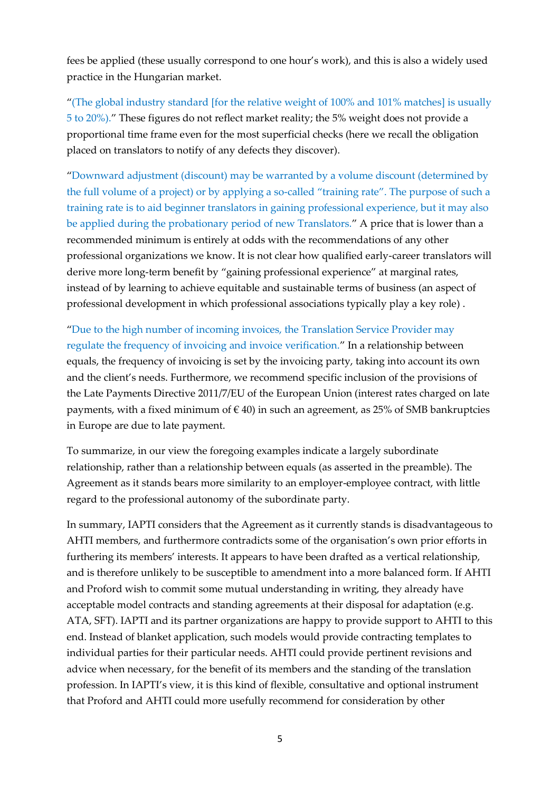fees be applied (these usually correspond to one hour's work), and this is also a widely used practice in the Hungarian market.

"(The global industry standard [for the relative weight of 100% and 101% matches] is usually 5 to 20%)." These figures do not reflect market reality; the 5% weight does not provide a proportional time frame even for the most superficial checks (here we recall the obligation placed on translators to notify of any defects they discover).

"Downward adjustment (discount) may be warranted by a volume discount (determined by the full volume of a project) or by applying a so-called "training rate". The purpose of such a training rate is to aid beginner translators in gaining professional experience, but it may also be applied during the probationary period of new Translators." A price that is lower than a recommended minimum is entirely at odds with the recommendations of any other professional organizations we know. It is not clear how qualified early-career translators will derive more long-term benefit by "gaining professional experience" at marginal rates, instead of by learning to achieve equitable and sustainable terms of business (an aspect of professional development in which professional associations typically play a key role) .

"Due to the high number of incoming invoices, the Translation Service Provider may regulate the frequency of invoicing and invoice verification." In a relationship between equals, the frequency of invoicing is set by the invoicing party, taking into account its own and the client's needs. Furthermore, we recommend specific inclusion of the provisions of the Late Payments Directive 2011/7/EU of the European Union (interest rates charged on late payments, with a fixed minimum of  $\in$  40) in such an agreement, as 25% of SMB bankruptcies in Europe are due to late payment.

To summarize, in our view the foregoing examples indicate a largely subordinate relationship, rather than a relationship between equals (as asserted in the preamble). The Agreement as it stands bears more similarity to an employer-employee contract, with little regard to the professional autonomy of the subordinate party.

In summary, IAPTI considers that the Agreement as it currently stands is disadvantageous to AHTI members, and furthermore contradicts some of the organisation's own prior efforts in furthering its members' interests. It appears to have been drafted as a vertical relationship, and is therefore unlikely to be susceptible to amendment into a more balanced form. If AHTI and Proford wish to commit some mutual understanding in writing, they already have acceptable model contracts and standing agreements at their disposal for adaptation (e.g. ATA, SFT). IAPTI and its partner organizations are happy to provide support to AHTI to this end. Instead of blanket application, such models would provide contracting templates to individual parties for their particular needs. AHTI could provide pertinent revisions and advice when necessary, for the benefit of its members and the standing of the translation profession. In IAPTI's view, it is this kind of flexible, consultative and optional instrument that Proford and AHTI could more usefully recommend for consideration by other